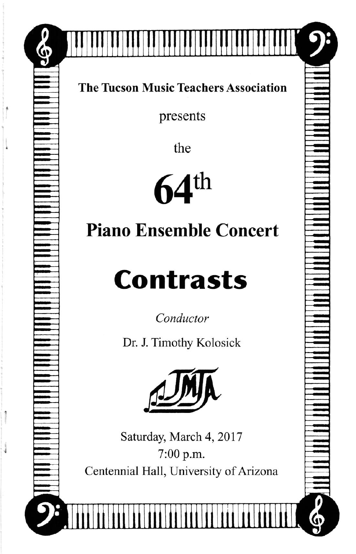

presents

the

 $64^{\text{th}}$ 

## Piano Ensemble Concert

## Contrasts

Conductor

Dr. J. Timothy Kolosick



Saturday, March 4, 2017 7:00 p.m. Centennial Hall, University of Arizona

| |||||||||||lllⅢ lllll‖ |||||||||||||||||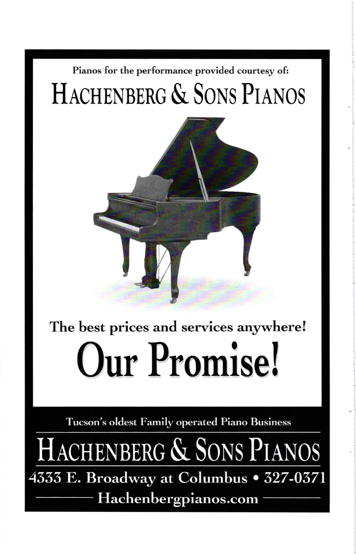## Pianos for the performance provided courtesy of: HACHENBERG & SONS PIANOS



## The best prices and services anywhere! Our Promise!

Tucson's oldest Family operated Piano Business